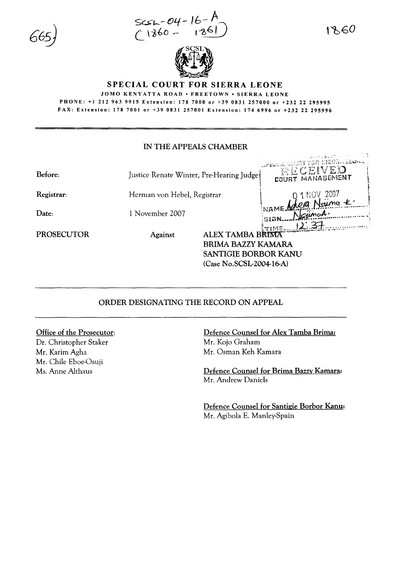$Scsc - 04 - 16 - A$ <br>  $(1860 - 1861)$ 

1260

m nj



## **SPECIAL COURT FOR SIERRA LEONE**

JOMO KENYATTA ROAD · FREETOWN · SIERRA LEONE PHONE: +1 212 963 9915 Extension: 178 7000 or +39 0831 257000 or +232 22 295995 FAX: Extension: 1787001 or +39 0831257001 Extension: 1746996 or +232 22 295996

#### IN THE APPEALS CHAMBER

| Before:    | Justice Renate Winter, Pre-Hearing Judge |                                                                                                          | in in general was a sama<br>SPEECH COURT FOR SIERRALEURE.<br>RECEIVED<br>COURT MANAGEMENT |
|------------|------------------------------------------|----------------------------------------------------------------------------------------------------------|-------------------------------------------------------------------------------------------|
| Registrar: | Herman von Hebel, Registrar              |                                                                                                          |                                                                                           |
| Date:      | 1 November 2007                          |                                                                                                          | INAME Adea Noima K                                                                        |
| PROSECUTOR | Against                                  | <b>ALEX TAMBA BRIMA</b><br><b>BRIMA BAZZY KAMARA</b><br>SANTIGIE BORBOR KANU<br>(Case No.SCSL-2004-16-A) |                                                                                           |

### ORDER DESIGNATING THE RECORD ON APPEAL

## Office of the Prosecutor:

Dr. Christopher Staker Mr. Karim Agha Mr. Chile Eboe-Osuji Ms. Anne Althaus

Defence Counsel for Alex Tamba Brima: Mr. Kojo Graham Mr. Osman Keh Kamara

Defence Counsel for Brima Bazzy Kamara: Mr. Andrew Daniels

Defence Counsel for Santigie Borbor Kanu: Mr. Agibola E. Manley-Spain